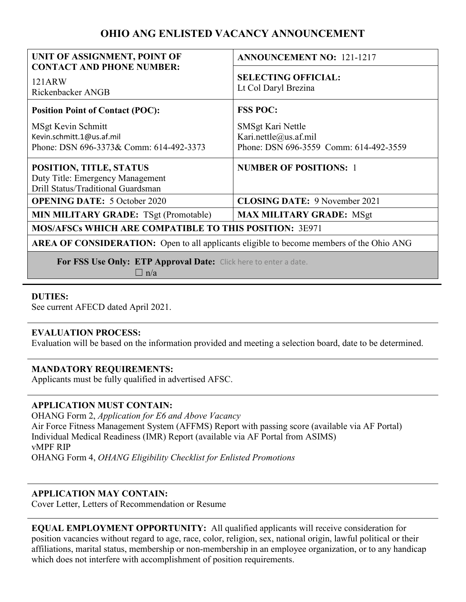# **OHIO ANG ENLISTED VACANCY ANNOUNCEMENT**

| UNIT OF ASSIGNMENT, POINT OF                                                                      | <b>ANNOUNCEMENT NO: 121-1217</b>                                                     |
|---------------------------------------------------------------------------------------------------|--------------------------------------------------------------------------------------|
| <b>CONTACT AND PHONE NUMBER:</b><br>121ARW<br>Rickenbacker ANGB                                   | <b>SELECTING OFFICIAL:</b><br>Lt Col Daryl Brezina                                   |
| <b>Position Point of Contact (POC):</b>                                                           | <b>FSS POC:</b>                                                                      |
| MSgt Kevin Schmitt<br>Kevin.schmitt.1@us.af.mil<br>Phone: DSN 696-3373& Comm: 614-492-3373        | SMSgt Kari Nettle<br>Kari.nettle@us.af.mil<br>Phone: DSN 696-3559 Comm: 614-492-3559 |
| POSITION, TITLE, STATUS<br>Duty Title: Emergency Management<br>Drill Status/Traditional Guardsman | <b>NUMBER OF POSITIONS: 1</b>                                                        |
| <b>OPENING DATE:</b> 5 October 2020                                                               | <b>CLOSING DATE: 9 November 2021</b>                                                 |
| <b>MIN MILITARY GRADE: TSgt (Promotable)</b>                                                      | <b>MAX MILITARY GRADE: MSgt</b>                                                      |
| <b>MOS/AFSCs WHICH ARE COMPATIBLE TO THIS POSITION: 3E971</b>                                     |                                                                                      |
| AREA OF CONSIDERATION: Open to all applicants eligible to become members of the Ohio ANG          |                                                                                      |
|                                                                                                   |                                                                                      |

 **For FSS Use Only: ETP Approval Date:** Click here to enter a date.

 $\Box$  n/a

# **DUTIES:**

See current AFECD dated April 2021.

### **EVALUATION PROCESS:**

Evaluation will be based on the information provided and meeting a selection board, date to be determined.

# **MANDATORY REQUIREMENTS:**

Applicants must be fully qualified in advertised AFSC.

### **APPLICATION MUST CONTAIN:**

OHANG Form 2, *Application for E6 and Above Vacancy*  Air Force Fitness Management System (AFFMS) Report with passing score (available via AF Portal) Individual Medical Readiness (IMR) Report (available via AF Portal from ASIMS) vMPF RIP OHANG Form 4, *OHANG Eligibility Checklist for Enlisted Promotions* 

# **APPLICATION MAY CONTAIN:**

Cover Letter, Letters of Recommendation or Resume

**EQUAL EMPLOYMENT OPPORTUNITY:** All qualified applicants will receive consideration for position vacancies without regard to age, race, color, religion, sex, national origin, lawful political or their affiliations, marital status, membership or non-membership in an employee organization, or to any handicap which does not interfere with accomplishment of position requirements.